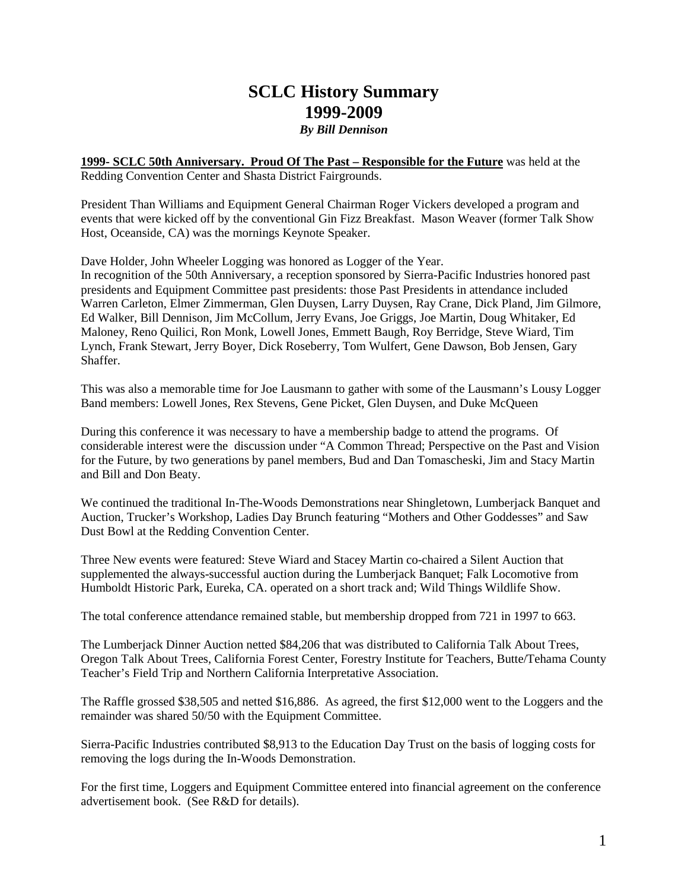# **SCLC History Summary 1999-2009**

#### *By Bill Dennison*

**1999- SCLC 50th Anniversary. Proud Of The Past – Responsible for the Future** was held at the Redding Convention Center and Shasta District Fairgrounds.

President Than Williams and Equipment General Chairman Roger Vickers developed a program and events that were kicked off by the conventional Gin Fizz Breakfast. Mason Weaver (former Talk Show Host, Oceanside, CA) was the mornings Keynote Speaker.

Dave Holder, John Wheeler Logging was honored as Logger of the Year.

In recognition of the 50th Anniversary, a reception sponsored by Sierra-Pacific Industries honored past presidents and Equipment Committee past presidents: those Past Presidents in attendance included Warren Carleton, Elmer Zimmerman, Glen Duysen, Larry Duysen, Ray Crane, Dick Pland, Jim Gilmore, Ed Walker, Bill Dennison, Jim McCollum, Jerry Evans, Joe Griggs, Joe Martin, Doug Whitaker, Ed Maloney, Reno Quilici, Ron Monk, Lowell Jones, Emmett Baugh, Roy Berridge, Steve Wiard, Tim Lynch, Frank Stewart, Jerry Boyer, Dick Roseberry, Tom Wulfert, Gene Dawson, Bob Jensen, Gary Shaffer.

This was also a memorable time for Joe Lausmann to gather with some of the Lausmann's Lousy Logger Band members: Lowell Jones, Rex Stevens, Gene Picket, Glen Duysen, and Duke McQueen

During this conference it was necessary to have a membership badge to attend the programs. Of considerable interest were the discussion under "A Common Thread; Perspective on the Past and Vision for the Future, by two generations by panel members, Bud and Dan Tomascheski, Jim and Stacy Martin and Bill and Don Beaty.

We continued the traditional In-The-Woods Demonstrations near Shingletown, Lumberjack Banquet and Auction, Trucker's Workshop, Ladies Day Brunch featuring "Mothers and Other Goddesses" and Saw Dust Bowl at the Redding Convention Center.

Three New events were featured: Steve Wiard and Stacey Martin co-chaired a Silent Auction that supplemented the always-successful auction during the Lumberjack Banquet; Falk Locomotive from Humboldt Historic Park, Eureka, CA. operated on a short track and; Wild Things Wildlife Show.

The total conference attendance remained stable, but membership dropped from 721 in 1997 to 663.

The Lumberjack Dinner Auction netted \$84,206 that was distributed to California Talk About Trees, Oregon Talk About Trees, California Forest Center, Forestry Institute for Teachers, Butte/Tehama County Teacher's Field Trip and Northern California Interpretative Association.

The Raffle grossed \$38,505 and netted \$16,886. As agreed, the first \$12,000 went to the Loggers and the remainder was shared 50/50 with the Equipment Committee.

Sierra-Pacific Industries contributed \$8,913 to the Education Day Trust on the basis of logging costs for removing the logs during the In-Woods Demonstration.

For the first time, Loggers and Equipment Committee entered into financial agreement on the conference advertisement book. (See R&D for details).

1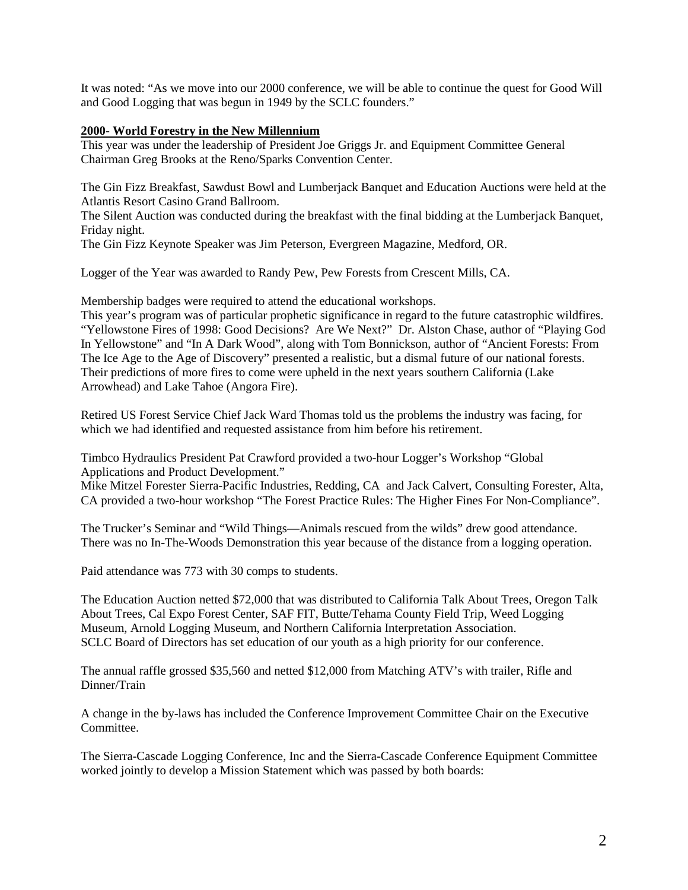It was noted: "As we move into our 2000 conference, we will be able to continue the quest for Good Will and Good Logging that was begun in 1949 by the SCLC founders."

#### **2000- World Forestry in the New Millennium**

This year was under the leadership of President Joe Griggs Jr. and Equipment Committee General Chairman Greg Brooks at the Reno/Sparks Convention Center.

The Gin Fizz Breakfast, Sawdust Bowl and Lumberjack Banquet and Education Auctions were held at the Atlantis Resort Casino Grand Ballroom.

The Silent Auction was conducted during the breakfast with the final bidding at the Lumberjack Banquet, Friday night.

The Gin Fizz Keynote Speaker was Jim Peterson, Evergreen Magazine, Medford, OR.

Logger of the Year was awarded to Randy Pew, Pew Forests from Crescent Mills, CA.

Membership badges were required to attend the educational workshops.

This year's program was of particular prophetic significance in regard to the future catastrophic wildfires. "Yellowstone Fires of 1998: Good Decisions? Are We Next?" Dr. Alston Chase, author of "Playing God In Yellowstone" and "In A Dark Wood", along with Tom Bonnickson, author of "Ancient Forests: From The Ice Age to the Age of Discovery" presented a realistic, but a dismal future of our national forests. Their predictions of more fires to come were upheld in the next years southern California (Lake Arrowhead) and Lake Tahoe (Angora Fire).

Retired US Forest Service Chief Jack Ward Thomas told us the problems the industry was facing, for which we had identified and requested assistance from him before his retirement.

Timbco Hydraulics President Pat Crawford provided a two-hour Logger's Workshop "Global Applications and Product Development."

Mike Mitzel Forester Sierra-Pacific Industries, Redding, CA and Jack Calvert, Consulting Forester, Alta, CA provided a two-hour workshop "The Forest Practice Rules: The Higher Fines For Non-Compliance".

The Trucker's Seminar and "Wild Things—Animals rescued from the wilds" drew good attendance. There was no In-The-Woods Demonstration this year because of the distance from a logging operation.

Paid attendance was 773 with 30 comps to students.

The Education Auction netted \$72,000 that was distributed to California Talk About Trees, Oregon Talk About Trees, Cal Expo Forest Center, SAF FIT, Butte/Tehama County Field Trip, Weed Logging Museum, Arnold Logging Museum, and Northern California Interpretation Association. SCLC Board of Directors has set education of our youth as a high priority for our conference.

The annual raffle grossed \$35,560 and netted \$12,000 from Matching ATV's with trailer, Rifle and Dinner/Train

A change in the by-laws has included the Conference Improvement Committee Chair on the Executive Committee.

The Sierra-Cascade Logging Conference, Inc and the Sierra-Cascade Conference Equipment Committee worked jointly to develop a Mission Statement which was passed by both boards: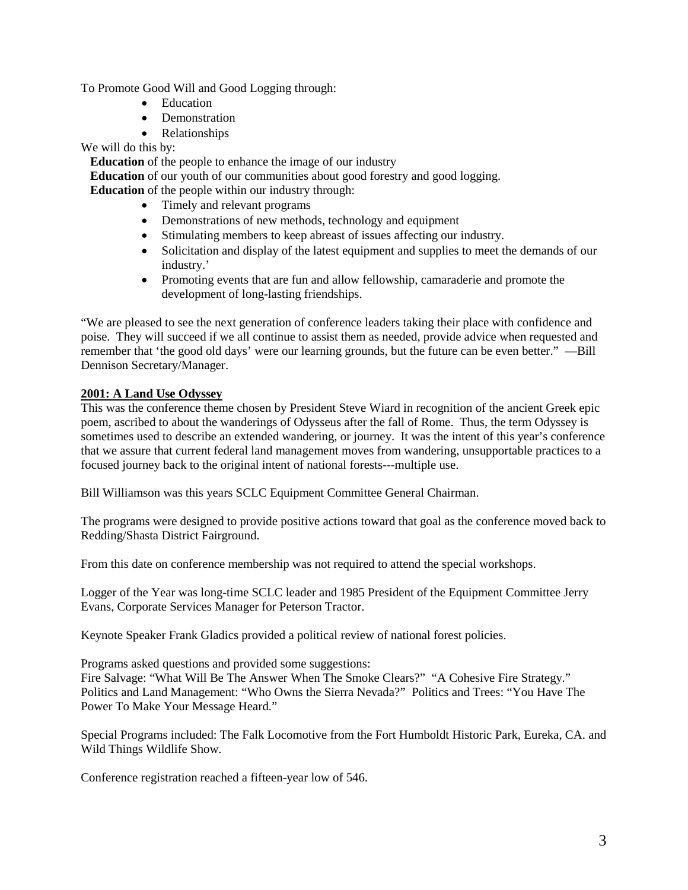To Promote Good Will and Good Logging through:

- Education
- Demonstration
- Relationships

We will do this by:

**Education** of the people to enhance the image of our industry

**Education** of our youth of our communities about good forestry and good logging.

**Education** of the people within our industry through:

- Timely and relevant programs
- Demonstrations of new methods, technology and equipment
- Stimulating members to keep abreast of issues affecting our industry.
- Solicitation and display of the latest equipment and supplies to meet the demands of our industry.'
- Promoting events that are fun and allow fellowship, camaraderie and promote the development of long-lasting friendships.

"We are pleased to see the next generation of conference leaders taking their place with confidence and poise. They will succeed if we all continue to assist them as needed, provide advice when requested and remember that 'the good old days' were our learning grounds, but the future can be even better." —Bill Dennison Secretary/Manager.

# **2001: A Land Use Odyssey**

This was the conference theme chosen by President Steve Wiard in recognition of the ancient Greek epic poem, ascribed to about the wanderings of Odysseus after the fall of Rome. Thus, the term Odyssey is sometimes used to describe an extended wandering, or journey. It was the intent of this year's conference that we assure that current federal land management moves from wandering, unsupportable practices to a focused journey back to the original intent of national forests---multiple use.

Bill Williamson was this years SCLC Equipment Committee General Chairman.

The programs were designed to provide positive actions toward that goal as the conference moved back to Redding/Shasta District Fairground.

From this date on conference membership was not required to attend the special workshops.

Logger of the Year was long-time SCLC leader and 1985 President of the Equipment Committee Jerry Evans, Corporate Services Manager for Peterson Tractor.

Keynote Speaker Frank Gladics provided a political review of national forest policies.

Programs asked questions and provided some suggestions: Fire Salvage: "What Will Be The Answer When The Smoke Clears?" "A Cohesive Fire Strategy." Politics and Land Management: "Who Owns the Sierra Nevada?" Politics and Trees: "You Have The Power To Make Your Message Heard."

Special Programs included: The Falk Locomotive from the Fort Humboldt Historic Park, Eureka, CA. and Wild Things Wildlife Show.

Conference registration reached a fifteen-year low of 546.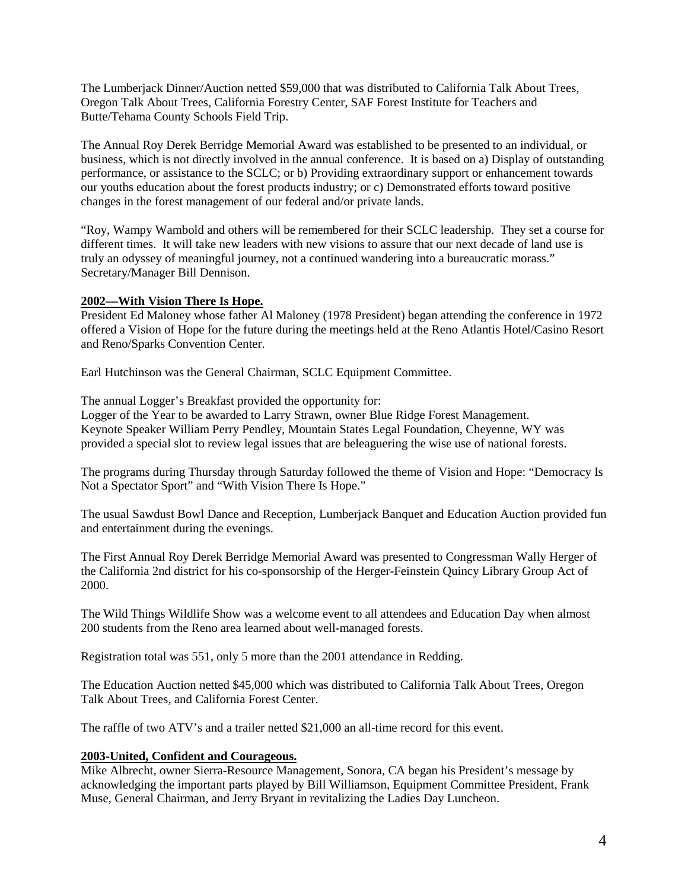The Lumberjack Dinner/Auction netted \$59,000 that was distributed to California Talk About Trees, Oregon Talk About Trees, California Forestry Center, SAF Forest Institute for Teachers and Butte/Tehama County Schools Field Trip.

The Annual Roy Derek Berridge Memorial Award was established to be presented to an individual, or business, which is not directly involved in the annual conference. It is based on a) Display of outstanding performance, or assistance to the SCLC; or b) Providing extraordinary support or enhancement towards our youths education about the forest products industry; or c) Demonstrated efforts toward positive changes in the forest management of our federal and/or private lands.

"Roy, Wampy Wambold and others will be remembered for their SCLC leadership. They set a course for different times. It will take new leaders with new visions to assure that our next decade of land use is truly an odyssey of meaningful journey, not a continued wandering into a bureaucratic morass." Secretary/Manager Bill Dennison.

# **2002—With Vision There Is Hope.**

President Ed Maloney whose father Al Maloney (1978 President) began attending the conference in 1972 offered a Vision of Hope for the future during the meetings held at the Reno Atlantis Hotel/Casino Resort and Reno/Sparks Convention Center.

Earl Hutchinson was the General Chairman, SCLC Equipment Committee.

The annual Logger's Breakfast provided the opportunity for:

Logger of the Year to be awarded to Larry Strawn, owner Blue Ridge Forest Management. Keynote Speaker William Perry Pendley, Mountain States Legal Foundation, Cheyenne, WY was provided a special slot to review legal issues that are beleaguering the wise use of national forests.

The programs during Thursday through Saturday followed the theme of Vision and Hope: "Democracy Is Not a Spectator Sport" and "With Vision There Is Hope."

The usual Sawdust Bowl Dance and Reception, Lumberjack Banquet and Education Auction provided fun and entertainment during the evenings.

The First Annual Roy Derek Berridge Memorial Award was presented to Congressman Wally Herger of the California 2nd district for his co-sponsorship of the Herger-Feinstein Quincy Library Group Act of 2000.

The Wild Things Wildlife Show was a welcome event to all attendees and Education Day when almost 200 students from the Reno area learned about well-managed forests.

Registration total was 551, only 5 more than the 2001 attendance in Redding.

The Education Auction netted \$45,000 which was distributed to California Talk About Trees, Oregon Talk About Trees, and California Forest Center.

The raffle of two ATV's and a trailer netted \$21,000 an all-time record for this event.

#### **2003-United, Confident and Courageous.**

Mike Albrecht, owner Sierra-Resource Management, Sonora, CA began his President's message by acknowledging the important parts played by Bill Williamson, Equipment Committee President, Frank Muse, General Chairman, and Jerry Bryant in revitalizing the Ladies Day Luncheon.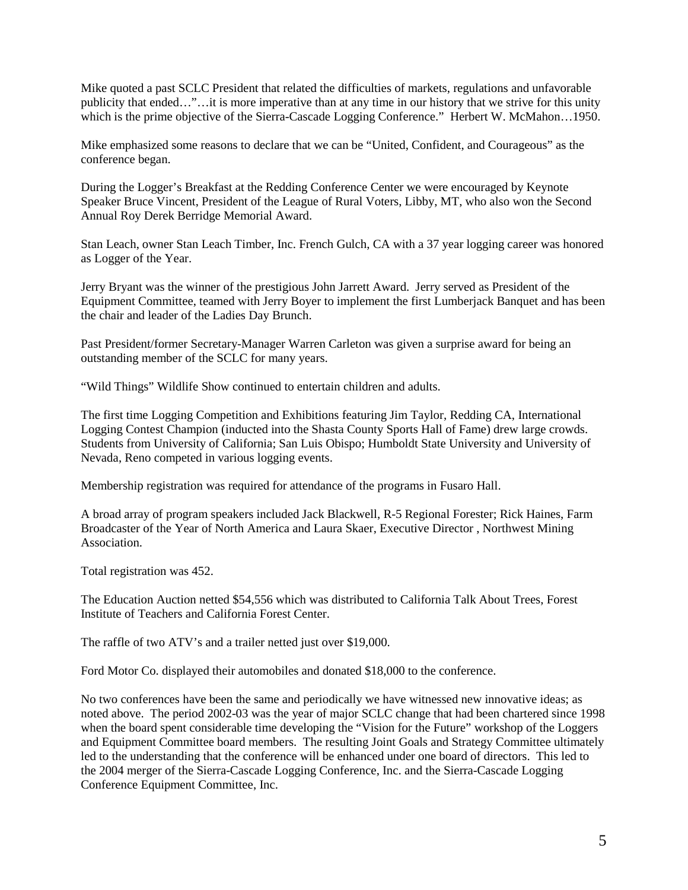Mike quoted a past SCLC President that related the difficulties of markets, regulations and unfavorable publicity that ended…"…it is more imperative than at any time in our history that we strive for this unity which is the prime objective of the Sierra-Cascade Logging Conference." Herbert W. McMahon…1950.

Mike emphasized some reasons to declare that we can be "United, Confident, and Courageous" as the conference began.

During the Logger's Breakfast at the Redding Conference Center we were encouraged by Keynote Speaker Bruce Vincent, President of the League of Rural Voters, Libby, MT, who also won the Second Annual Roy Derek Berridge Memorial Award.

Stan Leach, owner Stan Leach Timber, Inc. French Gulch, CA with a 37 year logging career was honored as Logger of the Year.

Jerry Bryant was the winner of the prestigious John Jarrett Award. Jerry served as President of the Equipment Committee, teamed with Jerry Boyer to implement the first Lumberjack Banquet and has been the chair and leader of the Ladies Day Brunch.

Past President/former Secretary-Manager Warren Carleton was given a surprise award for being an outstanding member of the SCLC for many years.

"Wild Things" Wildlife Show continued to entertain children and adults.

The first time Logging Competition and Exhibitions featuring Jim Taylor, Redding CA, International Logging Contest Champion (inducted into the Shasta County Sports Hall of Fame) drew large crowds. Students from University of California; San Luis Obispo; Humboldt State University and University of Nevada, Reno competed in various logging events.

Membership registration was required for attendance of the programs in Fusaro Hall.

A broad array of program speakers included Jack Blackwell, R-5 Regional Forester; Rick Haines, Farm Broadcaster of the Year of North America and Laura Skaer, Executive Director , Northwest Mining Association.

Total registration was 452.

The Education Auction netted \$54,556 which was distributed to California Talk About Trees, Forest Institute of Teachers and California Forest Center.

The raffle of two ATV's and a trailer netted just over \$19,000.

Ford Motor Co. displayed their automobiles and donated \$18,000 to the conference.

No two conferences have been the same and periodically we have witnessed new innovative ideas; as noted above. The period 2002-03 was the year of major SCLC change that had been chartered since 1998 when the board spent considerable time developing the "Vision for the Future" workshop of the Loggers and Equipment Committee board members. The resulting Joint Goals and Strategy Committee ultimately led to the understanding that the conference will be enhanced under one board of directors. This led to the 2004 merger of the Sierra-Cascade Logging Conference, Inc. and the Sierra-Cascade Logging Conference Equipment Committee, Inc.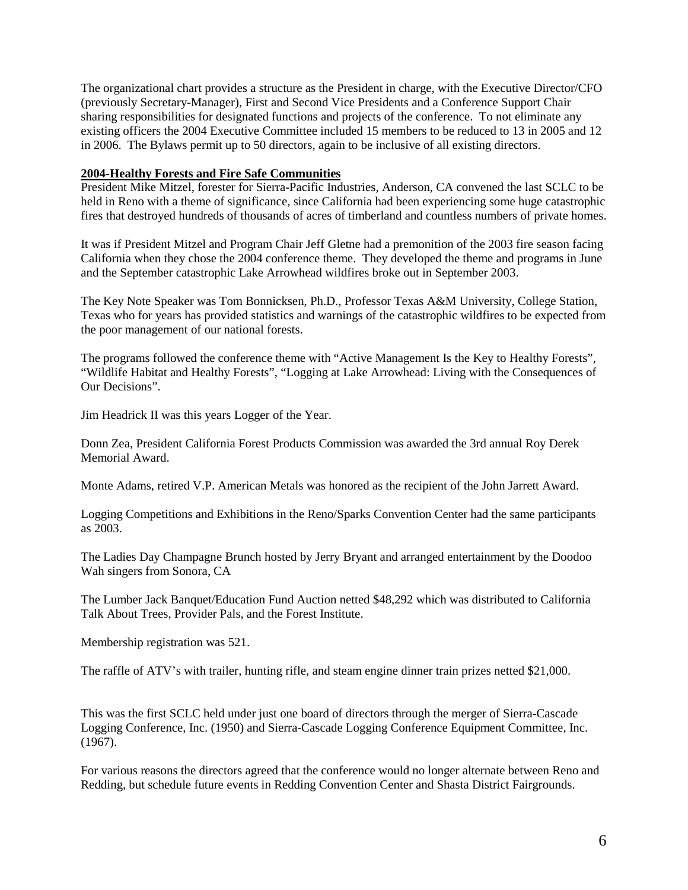The organizational chart provides a structure as the President in charge, with the Executive Director/CFO (previously Secretary-Manager), First and Second Vice Presidents and a Conference Support Chair sharing responsibilities for designated functions and projects of the conference. To not eliminate any existing officers the 2004 Executive Committee included 15 members to be reduced to 13 in 2005 and 12 in 2006. The Bylaws permit up to 50 directors, again to be inclusive of all existing directors.

#### **2004-Healthy Forests and Fire Safe Communities**

President Mike Mitzel, forester for Sierra-Pacific Industries, Anderson, CA convened the last SCLC to be held in Reno with a theme of significance, since California had been experiencing some huge catastrophic fires that destroyed hundreds of thousands of acres of timberland and countless numbers of private homes.

It was if President Mitzel and Program Chair Jeff Gletne had a premonition of the 2003 fire season facing California when they chose the 2004 conference theme. They developed the theme and programs in June and the September catastrophic Lake Arrowhead wildfires broke out in September 2003.

The Key Note Speaker was Tom Bonnicksen, Ph.D., Professor Texas A&M University, College Station, Texas who for years has provided statistics and warnings of the catastrophic wildfires to be expected from the poor management of our national forests.

The programs followed the conference theme with "Active Management Is the Key to Healthy Forests", "Wildlife Habitat and Healthy Forests", "Logging at Lake Arrowhead: Living with the Consequences of Our Decisions".

Jim Headrick II was this years Logger of the Year.

Donn Zea, President California Forest Products Commission was awarded the 3rd annual Roy Derek Memorial Award.

Monte Adams, retired V.P. American Metals was honored as the recipient of the John Jarrett Award.

Logging Competitions and Exhibitions in the Reno/Sparks Convention Center had the same participants as 2003.

The Ladies Day Champagne Brunch hosted by Jerry Bryant and arranged entertainment by the Doodoo Wah singers from Sonora, CA

The Lumber Jack Banquet/Education Fund Auction netted \$48,292 which was distributed to California Talk About Trees, Provider Pals, and the Forest Institute.

Membership registration was 521.

The raffle of ATV's with trailer, hunting rifle, and steam engine dinner train prizes netted \$21,000.

This was the first SCLC held under just one board of directors through the merger of Sierra-Cascade Logging Conference, Inc. (1950) and Sierra-Cascade Logging Conference Equipment Committee, Inc. (1967).

For various reasons the directors agreed that the conference would no longer alternate between Reno and Redding, but schedule future events in Redding Convention Center and Shasta District Fairgrounds.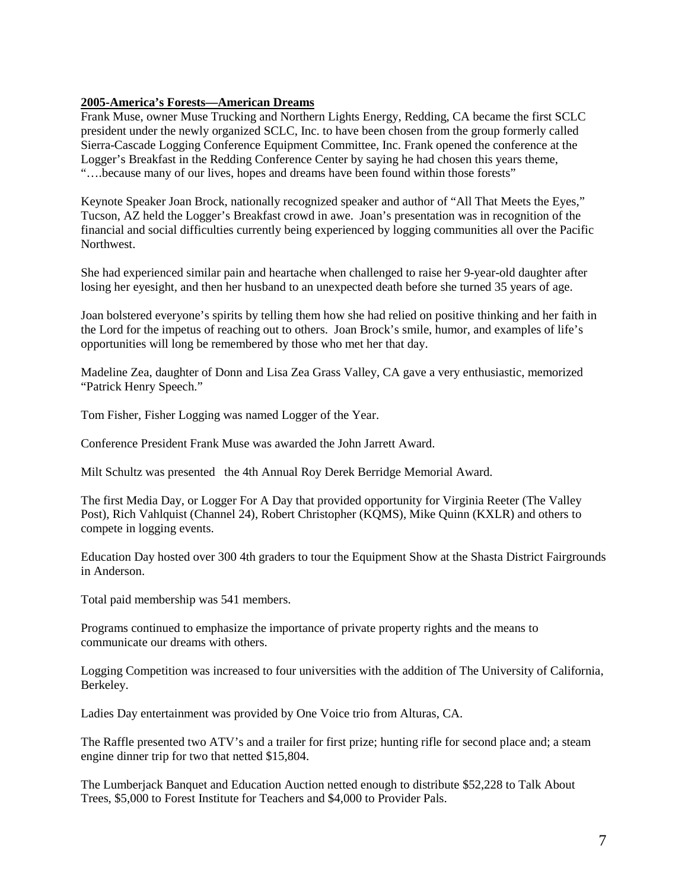## **2005-America's Forests—American Dreams**

Frank Muse, owner Muse Trucking and Northern Lights Energy, Redding, CA became the first SCLC president under the newly organized SCLC, Inc. to have been chosen from the group formerly called Sierra-Cascade Logging Conference Equipment Committee, Inc. Frank opened the conference at the Logger's Breakfast in the Redding Conference Center by saying he had chosen this years theme, "….because many of our lives, hopes and dreams have been found within those forests"

Keynote Speaker Joan Brock, nationally recognized speaker and author of "All That Meets the Eyes," Tucson, AZ held the Logger's Breakfast crowd in awe. Joan's presentation was in recognition of the financial and social difficulties currently being experienced by logging communities all over the Pacific Northwest.

She had experienced similar pain and heartache when challenged to raise her 9-year-old daughter after losing her eyesight, and then her husband to an unexpected death before she turned 35 years of age.

Joan bolstered everyone's spirits by telling them how she had relied on positive thinking and her faith in the Lord for the impetus of reaching out to others. Joan Brock's smile, humor, and examples of life's opportunities will long be remembered by those who met her that day.

Madeline Zea, daughter of Donn and Lisa Zea Grass Valley, CA gave a very enthusiastic, memorized "Patrick Henry Speech."

Tom Fisher, Fisher Logging was named Logger of the Year.

Conference President Frank Muse was awarded the John Jarrett Award.

Milt Schultz was presented the 4th Annual Roy Derek Berridge Memorial Award.

The first Media Day, or Logger For A Day that provided opportunity for Virginia Reeter (The Valley Post), Rich Vahlquist (Channel 24), Robert Christopher (KQMS), Mike Quinn (KXLR) and others to compete in logging events.

Education Day hosted over 300 4th graders to tour the Equipment Show at the Shasta District Fairgrounds in Anderson.

Total paid membership was 541 members.

Programs continued to emphasize the importance of private property rights and the means to communicate our dreams with others.

Logging Competition was increased to four universities with the addition of The University of California, Berkeley.

Ladies Day entertainment was provided by One Voice trio from Alturas, CA.

The Raffle presented two ATV's and a trailer for first prize; hunting rifle for second place and; a steam engine dinner trip for two that netted \$15,804.

The Lumberjack Banquet and Education Auction netted enough to distribute \$52,228 to Talk About Trees, \$5,000 to Forest Institute for Teachers and \$4,000 to Provider Pals.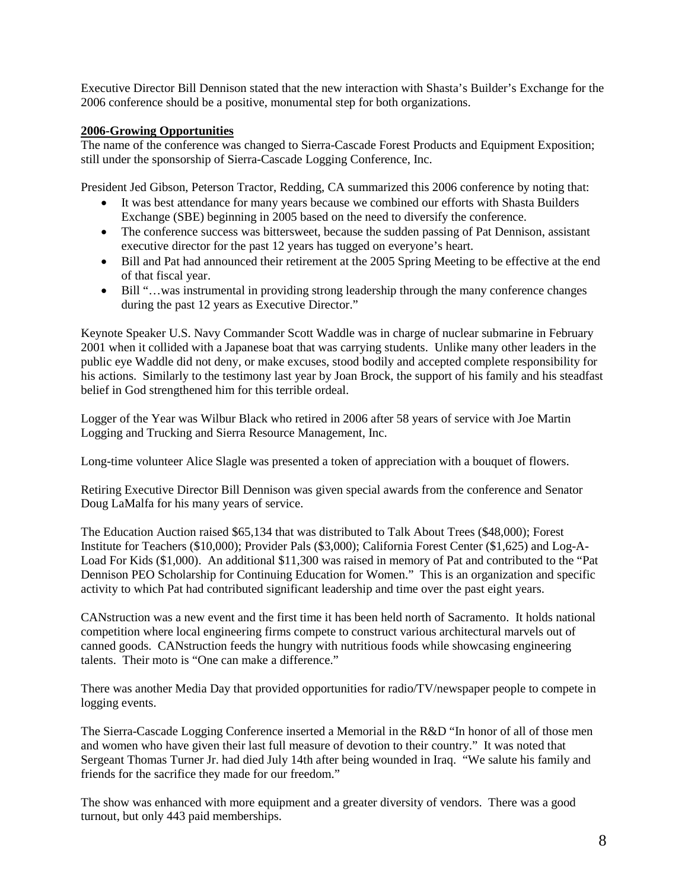Executive Director Bill Dennison stated that the new interaction with Shasta's Builder's Exchange for the 2006 conference should be a positive, monumental step for both organizations.

## **2006-Growing Opportunities**

The name of the conference was changed to Sierra-Cascade Forest Products and Equipment Exposition; still under the sponsorship of Sierra-Cascade Logging Conference, Inc.

President Jed Gibson, Peterson Tractor, Redding, CA summarized this 2006 conference by noting that:

- It was best attendance for many years because we combined our efforts with Shasta Builders Exchange (SBE) beginning in 2005 based on the need to diversify the conference.
- The conference success was bittersweet, because the sudden passing of Pat Dennison, assistant executive director for the past 12 years has tugged on everyone's heart.
- Bill and Pat had announced their retirement at the 2005 Spring Meeting to be effective at the end of that fiscal year.
- Bill "…was instrumental in providing strong leadership through the many conference changes during the past 12 years as Executive Director."

Keynote Speaker U.S. Navy Commander Scott Waddle was in charge of nuclear submarine in February 2001 when it collided with a Japanese boat that was carrying students. Unlike many other leaders in the public eye Waddle did not deny, or make excuses, stood bodily and accepted complete responsibility for his actions. Similarly to the testimony last year by Joan Brock, the support of his family and his steadfast belief in God strengthened him for this terrible ordeal.

Logger of the Year was Wilbur Black who retired in 2006 after 58 years of service with Joe Martin Logging and Trucking and Sierra Resource Management, Inc.

Long-time volunteer Alice Slagle was presented a token of appreciation with a bouquet of flowers.

Retiring Executive Director Bill Dennison was given special awards from the conference and Senator Doug LaMalfa for his many years of service.

The Education Auction raised \$65,134 that was distributed to Talk About Trees (\$48,000); Forest Institute for Teachers (\$10,000); Provider Pals (\$3,000); California Forest Center (\$1,625) and Log-A-Load For Kids (\$1,000). An additional \$11,300 was raised in memory of Pat and contributed to the "Pat Dennison PEO Scholarship for Continuing Education for Women." This is an organization and specific activity to which Pat had contributed significant leadership and time over the past eight years.

CANstruction was a new event and the first time it has been held north of Sacramento. It holds national competition where local engineering firms compete to construct various architectural marvels out of canned goods. CANstruction feeds the hungry with nutritious foods while showcasing engineering talents. Their moto is "One can make a difference."

There was another Media Day that provided opportunities for radio/TV/newspaper people to compete in logging events.

The Sierra-Cascade Logging Conference inserted a Memorial in the R&D "In honor of all of those men and women who have given their last full measure of devotion to their country." It was noted that Sergeant Thomas Turner Jr. had died July 14th after being wounded in Iraq. "We salute his family and friends for the sacrifice they made for our freedom."

The show was enhanced with more equipment and a greater diversity of vendors. There was a good turnout, but only 443 paid memberships.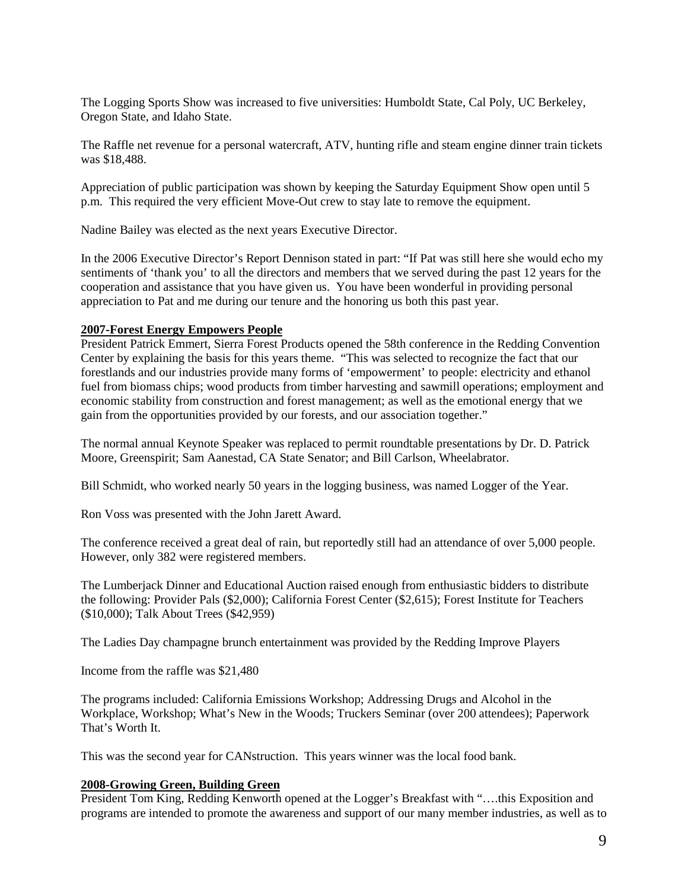The Logging Sports Show was increased to five universities: Humboldt State, Cal Poly, UC Berkeley, Oregon State, and Idaho State.

The Raffle net revenue for a personal watercraft, ATV, hunting rifle and steam engine dinner train tickets was \$18,488.

Appreciation of public participation was shown by keeping the Saturday Equipment Show open until 5 p.m. This required the very efficient Move-Out crew to stay late to remove the equipment.

Nadine Bailey was elected as the next years Executive Director.

In the 2006 Executive Director's Report Dennison stated in part: "If Pat was still here she would echo my sentiments of 'thank you' to all the directors and members that we served during the past 12 years for the cooperation and assistance that you have given us. You have been wonderful in providing personal appreciation to Pat and me during our tenure and the honoring us both this past year.

#### **2007-Forest Energy Empowers People**

President Patrick Emmert, Sierra Forest Products opened the 58th conference in the Redding Convention Center by explaining the basis for this years theme. "This was selected to recognize the fact that our forestlands and our industries provide many forms of 'empowerment' to people: electricity and ethanol fuel from biomass chips; wood products from timber harvesting and sawmill operations; employment and economic stability from construction and forest management; as well as the emotional energy that we gain from the opportunities provided by our forests, and our association together."

The normal annual Keynote Speaker was replaced to permit roundtable presentations by Dr. D. Patrick Moore, Greenspirit; Sam Aanestad, CA State Senator; and Bill Carlson, Wheelabrator.

Bill Schmidt, who worked nearly 50 years in the logging business, was named Logger of the Year.

Ron Voss was presented with the John Jarett Award.

The conference received a great deal of rain, but reportedly still had an attendance of over 5,000 people. However, only 382 were registered members.

The Lumberjack Dinner and Educational Auction raised enough from enthusiastic bidders to distribute the following: Provider Pals (\$2,000); California Forest Center (\$2,615); Forest Institute for Teachers (\$10,000); Talk About Trees (\$42,959)

The Ladies Day champagne brunch entertainment was provided by the Redding Improve Players

Income from the raffle was \$21,480

The programs included: California Emissions Workshop; Addressing Drugs and Alcohol in the Workplace, Workshop; What's New in the Woods; Truckers Seminar (over 200 attendees); Paperwork That's Worth It.

This was the second year for CANstruction. This years winner was the local food bank.

#### **2008-Growing Green, Building Green**

President Tom King, Redding Kenworth opened at the Logger's Breakfast with "….this Exposition and programs are intended to promote the awareness and support of our many member industries, as well as to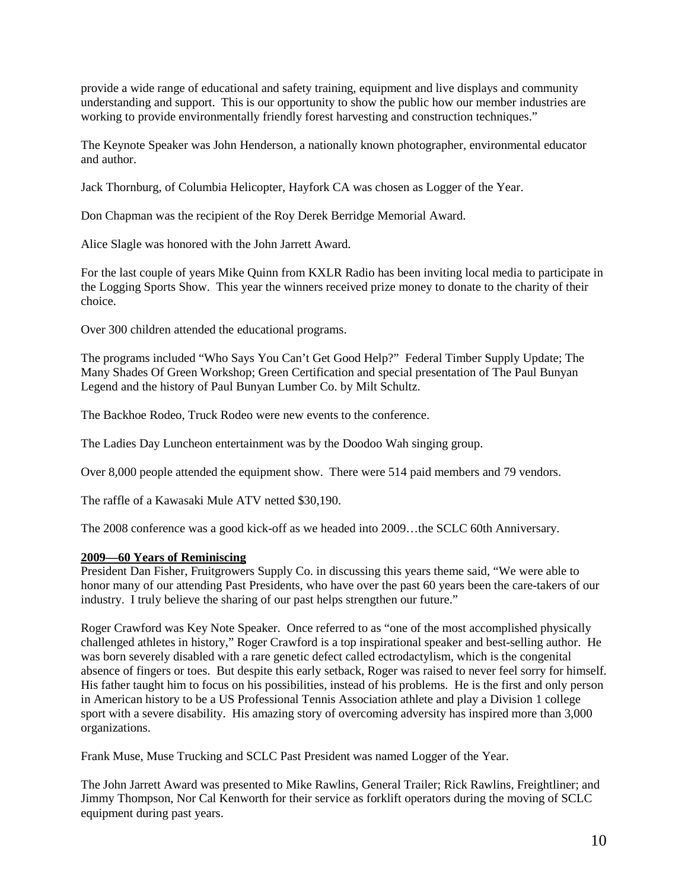provide a wide range of educational and safety training, equipment and live displays and community understanding and support. This is our opportunity to show the public how our member industries are working to provide environmentally friendly forest harvesting and construction techniques."

The Keynote Speaker was John Henderson, a nationally known photographer, environmental educator and author.

Jack Thornburg, of Columbia Helicopter, Hayfork CA was chosen as Logger of the Year.

Don Chapman was the recipient of the Roy Derek Berridge Memorial Award.

Alice Slagle was honored with the John Jarrett Award.

For the last couple of years Mike Quinn from KXLR Radio has been inviting local media to participate in the Logging Sports Show. This year the winners received prize money to donate to the charity of their choice.

Over 300 children attended the educational programs.

The programs included "Who Says You Can't Get Good Help?" Federal Timber Supply Update; The Many Shades Of Green Workshop; Green Certification and special presentation of The Paul Bunyan Legend and the history of Paul Bunyan Lumber Co. by Milt Schultz.

The Backhoe Rodeo, Truck Rodeo were new events to the conference.

The Ladies Day Luncheon entertainment was by the Doodoo Wah singing group.

Over 8,000 people attended the equipment show. There were 514 paid members and 79 vendors.

The raffle of a Kawasaki Mule ATV netted \$30,190.

The 2008 conference was a good kick-off as we headed into 2009…the SCLC 60th Anniversary.

#### **2009—60 Years of Reminiscing**

President Dan Fisher, Fruitgrowers Supply Co. in discussing this years theme said, "We were able to honor many of our attending Past Presidents, who have over the past 60 years been the care-takers of our industry. I truly believe the sharing of our past helps strengthen our future."

Roger Crawford was Key Note Speaker. Once referred to as "one of the most accomplished physically challenged athletes in history," Roger Crawford is a top inspirational speaker and best-selling author. He was born severely disabled with a rare genetic defect called ectrodactylism, which is the congenital absence of fingers or toes. But despite this early setback, Roger was raised to never feel sorry for himself. His father taught him to focus on his possibilities, instead of his problems. He is the first and only person in American history to be a US Professional Tennis Association athlete and play a Division 1 college sport with a severe disability. His amazing story of overcoming adversity has inspired more than 3,000 organizations.

Frank Muse, Muse Trucking and SCLC Past President was named Logger of the Year.

The John Jarrett Award was presented to Mike Rawlins, General Trailer; Rick Rawlins, Freightliner; and Jimmy Thompson, Nor Cal Kenworth for their service as forklift operators during the moving of SCLC equipment during past years.